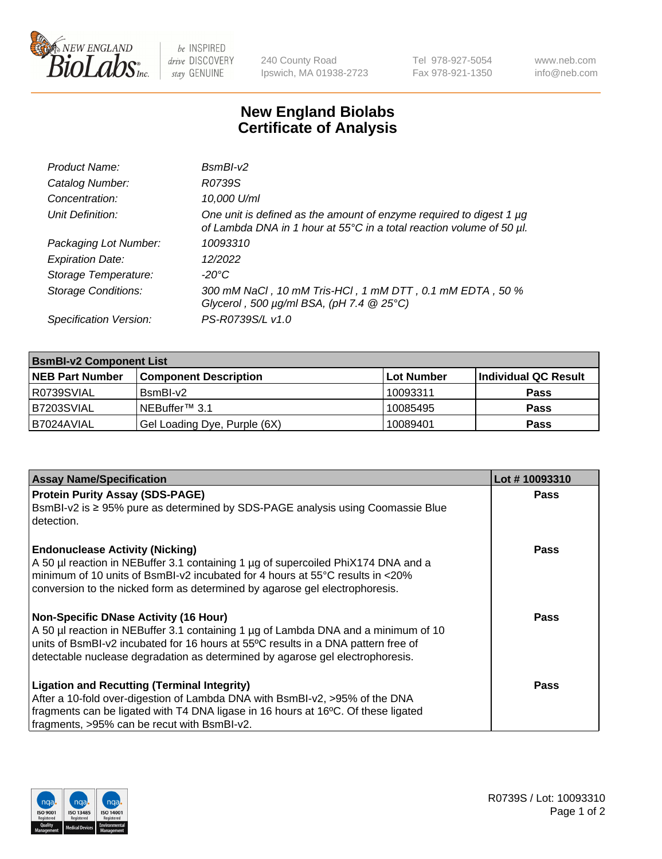

 $be$  INSPIRED drive DISCOVERY stay GENUINE

240 County Road Ipswich, MA 01938-2723 Tel 978-927-5054 Fax 978-921-1350 www.neb.com info@neb.com

## **New England Biolabs Certificate of Analysis**

| Product Name:              | $BsmBI-v2$                                                                                                                                  |
|----------------------------|---------------------------------------------------------------------------------------------------------------------------------------------|
| Catalog Number:            | R0739S                                                                                                                                      |
| Concentration:             | 10,000 U/ml                                                                                                                                 |
| Unit Definition:           | One unit is defined as the amount of enzyme required to digest 1 µg<br>of Lambda DNA in 1 hour at 55°C in a total reaction volume of 50 µl. |
| Packaging Lot Number:      | 10093310                                                                                                                                    |
| <b>Expiration Date:</b>    | 12/2022                                                                                                                                     |
| Storage Temperature:       | $-20^{\circ}$ C                                                                                                                             |
| <b>Storage Conditions:</b> | 300 mM NaCl, 10 mM Tris-HCl, 1 mM DTT, 0.1 mM EDTA, 50 %<br>Glycerol, 500 $\mu$ g/ml BSA, (pH 7.4 $@25°C$ )                                 |
| Specification Version:     | PS-R0739S/L v1.0                                                                                                                            |

| <b>BsmBI-v2 Component List</b> |                              |            |                      |  |  |
|--------------------------------|------------------------------|------------|----------------------|--|--|
| <b>NEB Part Number</b>         | <b>Component Description</b> | Lot Number | Individual QC Result |  |  |
| R0739SVIAL                     | $BsmBl-v2$                   | 10093311   | <b>Pass</b>          |  |  |
| B7203SVIAL                     | NEBuffer <sup>™</sup> 3.1    | 10085495   | <b>Pass</b>          |  |  |
| IB7024AVIAL                    | Gel Loading Dye, Purple (6X) | 10089401   | <b>Pass</b>          |  |  |

| <b>Assay Name/Specification</b>                                                                                                                                                                                                                                                                        | Lot #10093310 |
|--------------------------------------------------------------------------------------------------------------------------------------------------------------------------------------------------------------------------------------------------------------------------------------------------------|---------------|
| <b>Protein Purity Assay (SDS-PAGE)</b><br>BsmBI-v2 is ≥ 95% pure as determined by SDS-PAGE analysis using Coomassie Blue                                                                                                                                                                               | <b>Pass</b>   |
| detection.<br><b>Endonuclease Activity (Nicking)</b><br>A 50 µl reaction in NEBuffer 3.1 containing 1 µg of supercoiled PhiX174 DNA and a<br>I minimum of 10 units of BsmBI-v2 incubated for 4 hours at 55°C results in <20%                                                                           | <b>Pass</b>   |
| conversion to the nicked form as determined by agarose gel electrophoresis.<br><b>Non-Specific DNase Activity (16 Hour)</b><br>A 50 µl reaction in NEBuffer 3.1 containing 1 µg of Lambda DNA and a minimum of 10<br>units of BsmBI-v2 incubated for 16 hours at 55°C results in a DNA pattern free of | Pass          |
| detectable nuclease degradation as determined by agarose gel electrophoresis.<br><b>Ligation and Recutting (Terminal Integrity)</b>                                                                                                                                                                    | <b>Pass</b>   |
| After a 10-fold over-digestion of Lambda DNA with BsmBI-v2, >95% of the DNA<br>fragments can be ligated with T4 DNA ligase in 16 hours at 16°C. Of these ligated<br>fragments, >95% can be recut with BsmBI-v2.                                                                                        |               |